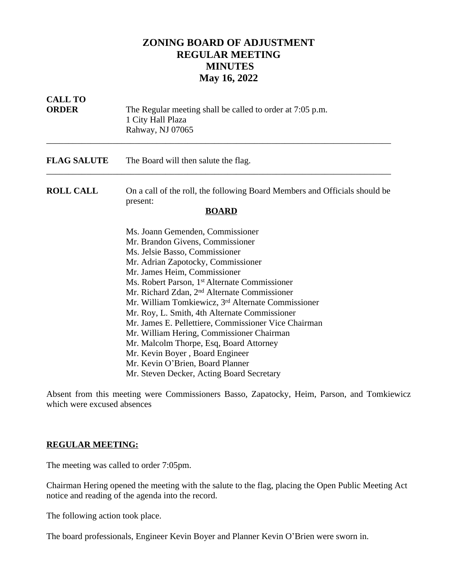## **ZONING BOARD OF ADJUSTMENT REGULAR MEETING MINUTES May 16, 2022**

| <b>CALL TO</b><br><b>ORDER</b> | The Regular meeting shall be called to order at 7:05 p.m.<br>1 City Hall Plaza<br>Rahway, NJ 07065                                                                                                                                                                                                                                                                                                                                                                                                                                                                                                                                                                                           |
|--------------------------------|----------------------------------------------------------------------------------------------------------------------------------------------------------------------------------------------------------------------------------------------------------------------------------------------------------------------------------------------------------------------------------------------------------------------------------------------------------------------------------------------------------------------------------------------------------------------------------------------------------------------------------------------------------------------------------------------|
| <b>FLAG SALUTE</b>             | The Board will then salute the flag.                                                                                                                                                                                                                                                                                                                                                                                                                                                                                                                                                                                                                                                         |
| <b>ROLL CALL</b>               | On a call of the roll, the following Board Members and Officials should be<br>present:<br><b>BOARD</b>                                                                                                                                                                                                                                                                                                                                                                                                                                                                                                                                                                                       |
|                                | Ms. Joann Gemenden, Commissioner<br>Mr. Brandon Givens, Commissioner<br>Ms. Jelsie Basso, Commissioner<br>Mr. Adrian Zapotocky, Commissioner<br>Mr. James Heim, Commissioner<br>Ms. Robert Parson, 1 <sup>st</sup> Alternate Commissioner<br>Mr. Richard Zdan, 2 <sup>nd</sup> Alternate Commissioner<br>Mr. William Tomkiewicz, 3 <sup>rd</sup> Alternate Commissioner<br>Mr. Roy, L. Smith, 4th Alternate Commissioner<br>Mr. James E. Pellettiere, Commissioner Vice Chairman<br>Mr. William Hering, Commissioner Chairman<br>Mr. Malcolm Thorpe, Esq, Board Attorney<br>Mr. Kevin Boyer, Board Engineer<br>Mr. Kevin O'Brien, Board Planner<br>Mr. Steven Decker, Acting Board Secretary |

Absent from this meeting were Commissioners Basso, Zapatocky, Heim, Parson, and Tomkiewicz which were excused absences

## **REGULAR MEETING:**

The meeting was called to order 7:05pm.

Chairman Hering opened the meeting with the salute to the flag, placing the Open Public Meeting Act notice and reading of the agenda into the record.

The following action took place.

The board professionals, Engineer Kevin Boyer and Planner Kevin O'Brien were sworn in.